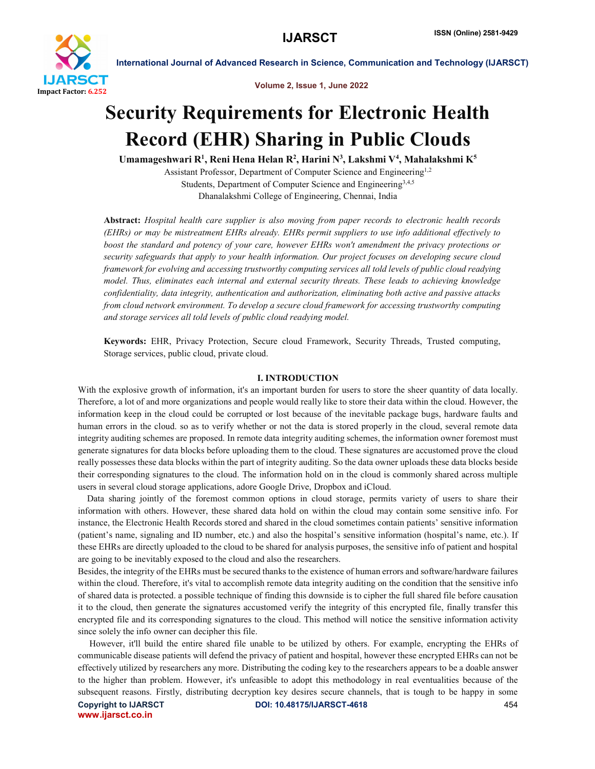

Volume 2, Issue 1, June 2022

## Security Requirements for Electronic Health Record (EHR) Sharing in Public Clouds

Umamageshwari R<sup>1</sup>, Reni Hena Helan R<sup>2</sup>, Harini N<sup>3</sup>, Lakshmi V<sup>4</sup>, Mahalakshmi K<sup>5</sup>

Assistant Professor, Department of Computer Science and Engineering<sup>1,2</sup> Students, Department of Computer Science and Engineering<sup>3,4,5</sup> Dhanalakshmi College of Engineering, Chennai, India

Abstract: *Hospital health care supplier is also moving from paper records to electronic health records (EHRs) or may be mistreatment EHRs already. EHRs permit suppliers to use info additional effectively to boost the standard and potency of your care, however EHRs won't amendment the privacy protections or security safeguards that apply to your health information. Our project focuses on developing secure cloud framework for evolving and accessing trustworthy computing services all told levels of public cloud readying model. Thus, eliminates each internal and external security threats. These leads to achieving knowledge confidentiality, data integrity, authentication and authorization, eliminating both active and passive attacks from cloud network environment. To develop a secure cloud framework for accessing trustworthy computing and storage services all told levels of public cloud readying model.*

Keywords: EHR, Privacy Protection, Secure cloud Framework, Security Threads, Trusted computing, Storage services, public cloud, private cloud.

#### I. INTRODUCTION

With the explosive growth of information, it's an important burden for users to store the sheer quantity of data locally. Therefore, a lot of and more organizations and people would really like to store their data within the cloud. However, the information keep in the cloud could be corrupted or lost because of the inevitable package bugs, hardware faults and human errors in the cloud. so as to verify whether or not the data is stored properly in the cloud, several remote data integrity auditing schemes are proposed. In remote data integrity auditing schemes, the information owner foremost must generate signatures for data blocks before uploading them to the cloud. These signatures are accustomed prove the cloud really possesses these data blocks within the part of integrity auditing. So the data owner uploads these data blocks beside their corresponding signatures to the cloud. The information hold on in the cloud is commonly shared across multiple users in several cloud storage applications, adore Google Drive, Dropbox and iCloud.

 Data sharing jointly of the foremost common options in cloud storage, permits variety of users to share their information with others. However, these shared data hold on within the cloud may contain some sensitive info. For instance, the Electronic Health Records stored and shared in the cloud sometimes contain patients' sensitive information (patient's name, signaling and ID number, etc.) and also the hospital's sensitive information (hospital's name, etc.). If these EHRs are directly uploaded to the cloud to be shared for analysis purposes, the sensitive info of patient and hospital are going to be inevitably exposed to the cloud and also the researchers.

Besides, the integrity of the EHRs must be secured thanks to the existence of human errors and software/hardware failures within the cloud. Therefore, it's vital to accomplish remote data integrity auditing on the condition that the sensitive info of shared data is protected. a possible technique of finding this downside is to cipher the full shared file before causation it to the cloud, then generate the signatures accustomed verify the integrity of this encrypted file, finally transfer this encrypted file and its corresponding signatures to the cloud. This method will notice the sensitive information activity since solely the info owner can decipher this file.

 However, it'll build the entire shared file unable to be utilized by others. For example, encrypting the EHRs of communicable disease patients will defend the privacy of patient and hospital, however these encrypted EHRs can not be effectively utilized by researchers any more. Distributing the coding key to the researchers appears to be a doable answer to the higher than problem. However, it's unfeasible to adopt this methodology in real eventualities because of the subsequent reasons. Firstly, distributing decryption key desires secure channels, that is tough to be happy in some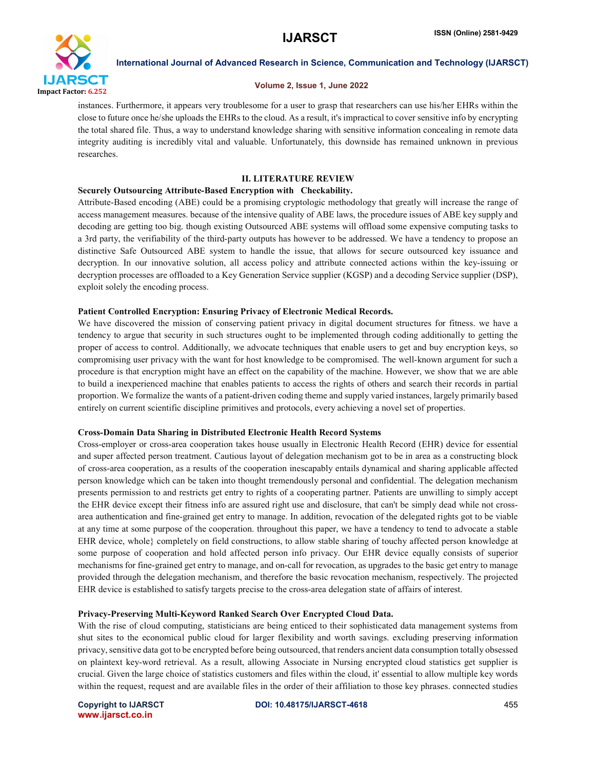

#### Volume 2, Issue 1, June 2022

instances. Furthermore, it appears very troublesome for a user to grasp that researchers can use his/her EHRs within the close to future once he/she uploads the EHRs to the cloud. As a result, it's impractical to cover sensitive info by encrypting the total shared file. Thus, a way to understand knowledge sharing with sensitive information concealing in remote data integrity auditing is incredibly vital and valuable. Unfortunately, this downside has remained unknown in previous researches.

#### II. LITERATURE REVIEW

#### Securely Outsourcing Attribute-Based Encryption with Checkability.

Attribute-Based encoding (ABE) could be a promising cryptologic methodology that greatly will increase the range of access management measures. because of the intensive quality of ABE laws, the procedure issues of ABE key supply and decoding are getting too big. though existing Outsourced ABE systems will offload some expensive computing tasks to a 3rd party, the verifiability of the third-party outputs has however to be addressed. We have a tendency to propose an distinctive Safe Outsourced ABE system to handle the issue, that allows for secure outsourced key issuance and decryption. In our innovative solution, all access policy and attribute connected actions within the key-issuing or decryption processes are offloaded to a Key Generation Service supplier (KGSP) and a decoding Service supplier (DSP), exploit solely the encoding process.

#### Patient Controlled Encryption: Ensuring Privacy of Electronic Medical Records.

We have discovered the mission of conserving patient privacy in digital document structures for fitness. we have a tendency to argue that security in such structures ought to be implemented through coding additionally to getting the proper of access to control. Additionally, we advocate techniques that enable users to get and buy encryption keys, so compromising user privacy with the want for host knowledge to be compromised. The well-known argument for such a procedure is that encryption might have an effect on the capability of the machine. However, we show that we are able to build a inexperienced machine that enables patients to access the rights of others and search their records in partial proportion. We formalize the wants of a patient-driven coding theme and supply varied instances, largely primarily based entirely on current scientific discipline primitives and protocols, every achieving a novel set of properties.

#### Cross-Domain Data Sharing in Distributed Electronic Health Record Systems

Cross-employer or cross-area cooperation takes house usually in Electronic Health Record (EHR) device for essential and super affected person treatment. Cautious layout of delegation mechanism got to be in area as a constructing block of cross-area cooperation, as a results of the cooperation inescapably entails dynamical and sharing applicable affected person knowledge which can be taken into thought tremendously personal and confidential. The delegation mechanism presents permission to and restricts get entry to rights of a cooperating partner. Patients are unwilling to simply accept the EHR device except their fitness info are assured right use and disclosure, that can't be simply dead while not crossarea authentication and fine-grained get entry to manage. In addition, revocation of the delegated rights got to be viable at any time at some purpose of the cooperation. throughout this paper, we have a tendency to tend to advocate a stable EHR device, whole} completely on field constructions, to allow stable sharing of touchy affected person knowledge at some purpose of cooperation and hold affected person info privacy. Our EHR device equally consists of superior mechanisms for fine-grained get entry to manage, and on-call for revocation, as upgrades to the basic get entry to manage provided through the delegation mechanism, and therefore the basic revocation mechanism, respectively. The projected EHR device is established to satisfy targets precise to the cross-area delegation state of affairs of interest.

#### Privacy-Preserving Multi-Keyword Ranked Search Over Encrypted Cloud Data.

With the rise of cloud computing, statisticians are being enticed to their sophisticated data management systems from shut sites to the economical public cloud for larger flexibility and worth savings. excluding preserving information privacy, sensitive data got to be encrypted before being outsourced, that renders ancient data consumption totally obsessed on plaintext key-word retrieval. As a result, allowing Associate in Nursing encrypted cloud statistics get supplier is crucial. Given the large choice of statistics customers and files within the cloud, it' essential to allow multiple key words within the request, request and are available files in the order of their affiliation to those key phrases. connected studies

www.ijarsct.co.in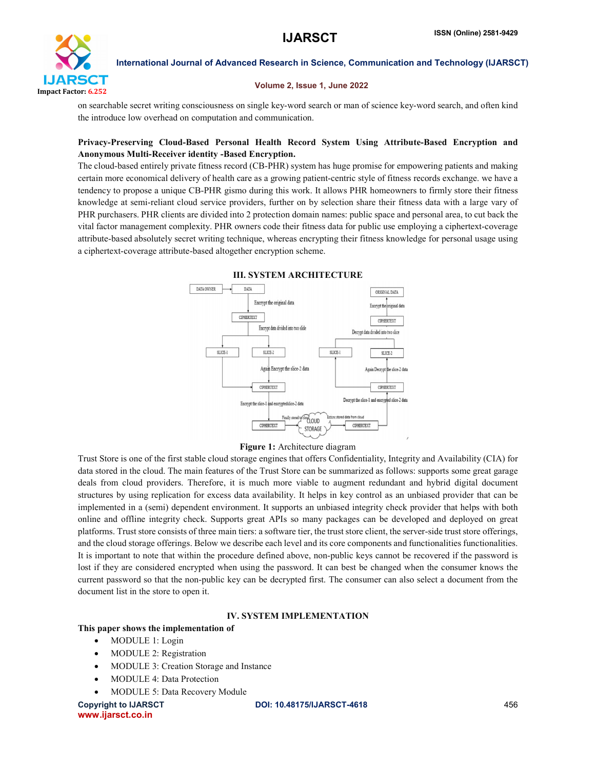

#### Volume 2, Issue 1, June 2022

on searchable secret writing consciousness on single key-word search or man of science key-word search, and often kind the introduce low overhead on computation and communication.

#### Privacy-Preserving Cloud-Based Personal Health Record System Using Attribute-Based Encryption and Anonymous Multi-Receiver identity -Based Encryption.

The cloud-based entirely private fitness record (CB-PHR) system has huge promise for empowering patients and making certain more economical delivery of health care as a growing patient-centric style of fitness records exchange. we have a tendency to propose a unique CB-PHR gismo during this work. It allows PHR homeowners to firmly store their fitness knowledge at semi-reliant cloud service providers, further on by selection share their fitness data with a large vary of PHR purchasers. PHR clients are divided into 2 protection domain names: public space and personal area, to cut back the vital factor management complexity. PHR owners code their fitness data for public use employing a ciphertext-coverage attribute-based absolutely secret writing technique, whereas encrypting their fitness knowledge for personal usage using a ciphertext-coverage attribute-based altogether encryption scheme.



#### III. SYSTEM ARCHITECTURE

Figure 1: Architecture diagram

Trust Store is one of the first stable cloud storage engines that offers Confidentiality, Integrity and Availability (CIA) for data stored in the cloud. The main features of the Trust Store can be summarized as follows: supports some great garage deals from cloud providers. Therefore, it is much more viable to augment redundant and hybrid digital document structures by using replication for excess data availability. It helps in key control as an unbiased provider that can be implemented in a (semi) dependent environment. It supports an unbiased integrity check provider that helps with both online and offline integrity check. Supports great APIs so many packages can be developed and deployed on great platforms. Trust store consists of three main tiers: a software tier, the trust store client, the server-side trust store offerings, and the cloud storage offerings. Below we describe each level and its core components and functionalities functionalities. It is important to note that within the procedure defined above, non-public keys cannot be recovered if the password is lost if they are considered encrypted when using the password. It can best be changed when the consumer knows the current password so that the non-public key can be decrypted first. The consumer can also select a document from the document list in the store to open it.

#### IV. SYSTEM IMPLEMENTATION

#### This paper shows the implementation of

- MODULE 1: Login
- MODULE 2: Registration
- MODULE 3: Creation Storage and Instance
- MODULE 4: Data Protection
- MODULE 5: Data Recovery Module

www.ijarsct.co.in

#### Copyright to IJARSCT **DOI: 10.48175/IJARSCT-4618** 456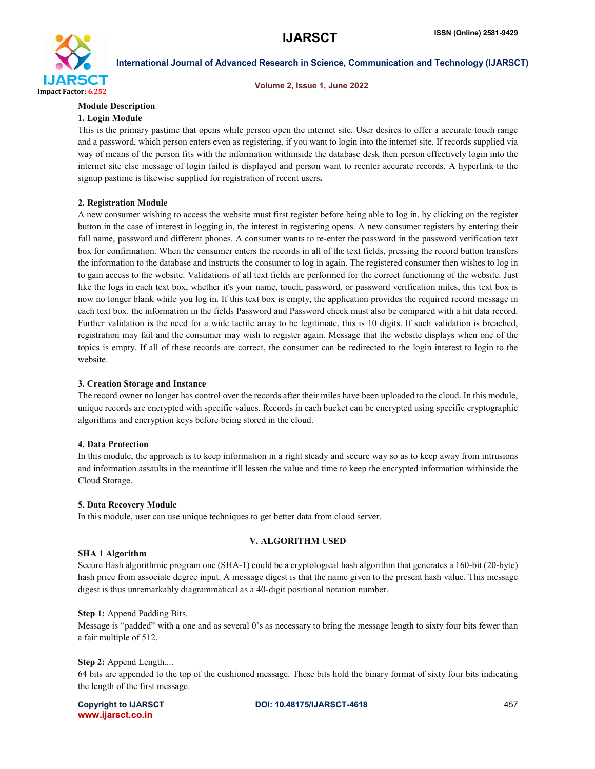

Volume 2, Issue 1, June 2022

#### Module Description

#### 1. Login Module

This is the primary pastime that opens while person open the internet site. User desires to offer a accurate touch range and a password, which person enters even as registering, if you want to login into the internet site. If records supplied via way of means of the person fits with the information withinside the database desk then person effectively login into the internet site else message of login failed is displayed and person want to reenter accurate records. A hyperlink to the signup pastime is likewise supplied for registration of recent users.

#### 2. Registration Module

A new consumer wishing to access the website must first register before being able to log in. by clicking on the register button in the case of interest in logging in, the interest in registering opens. A new consumer registers by entering their full name, password and different phones. A consumer wants to re-enter the password in the password verification text box for confirmation. When the consumer enters the records in all of the text fields, pressing the record button transfers the information to the database and instructs the consumer to log in again. The registered consumer then wishes to log in to gain access to the website. Validations of all text fields are performed for the correct functioning of the website. Just like the logs in each text box, whether it's your name, touch, password, or password verification miles, this text box is now no longer blank while you log in. If this text box is empty, the application provides the required record message in each text box. the information in the fields Password and Password check must also be compared with a hit data record. Further validation is the need for a wide tactile array to be legitimate, this is 10 digits. If such validation is breached, registration may fail and the consumer may wish to register again. Message that the website displays when one of the topics is empty. If all of these records are correct, the consumer can be redirected to the login interest to login to the website.

#### 3. Creation Storage and Instance

The record owner no longer has control over the records after their miles have been uploaded to the cloud. In this module, unique records are encrypted with specific values. Records in each bucket can be encrypted using specific cryptographic algorithms and encryption keys before being stored in the cloud.

#### 4. Data Protection

In this module, the approach is to keep information in a right steady and secure way so as to keep away from intrusions and information assaults in the meantime it'll lessen the value and time to keep the encrypted information withinside the Cloud Storage.

#### 5. Data Recovery Module

In this module, user can use unique techniques to get better data from cloud server.

#### V. ALGORITHM USED

#### SHA 1 Algorithm

Secure Hash algorithmic program one (SHA-1) could be a cryptological hash algorithm that generates a 160-bit (20-byte) hash price from associate degree input. A message digest is that the name given to the present hash value. This message digest is thus unremarkably diagrammatical as a 40-digit positional notation number.

#### Step 1: Append Padding Bits.

Message is "padded" with a one and as several 0's as necessary to bring the message length to sixty four bits fewer than a fair multiple of 512.

#### Step 2: Append Length....

64 bits are appended to the top of the cushioned message. These bits hold the binary format of sixty four bits indicating the length of the first message.

www.ijarsct.co.in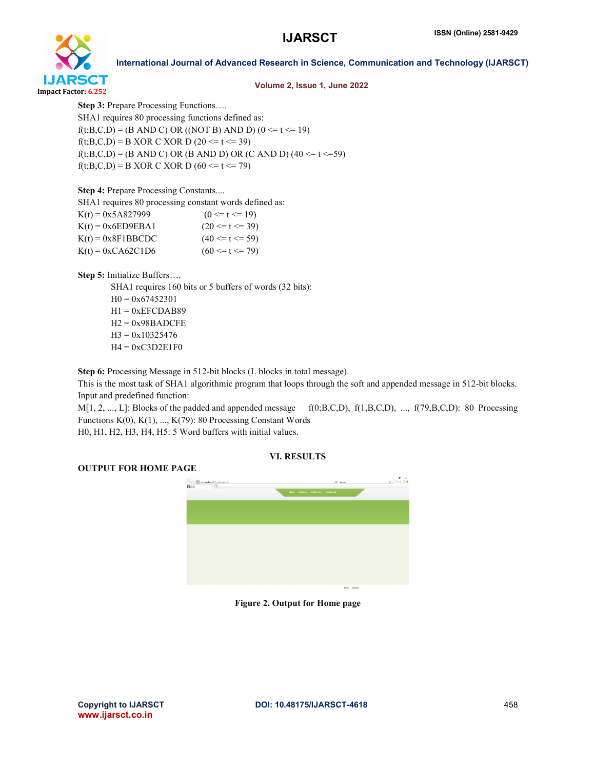

#### Volume 2, Issue 1, June 2022

Step 3: Prepare Processing Functions…. SHA1 requires 80 processing functions defined as:  $f(t; B, C, D) = (B \text{ AND } C) \text{ OR } ((\text{NOT } B) \text{ AND } D) (0 \le t \le 19)$  $f(t;B,C,D) = B XOR C XOR D (20 \le t \le 39)$  $f(t; B, C, D) = (B \text{ AND } C) \text{ OR } (B \text{ AND } D) \text{ OR } (C \text{ AND } D) (40 \le t \le 59)$  $f(t; B, C, D) = B XOR C XOR D (60 \le t \le 79)$ 

Step 4: Prepare Processing Constants....

SHA1 requires 80 processing constant words defined as:

| $K(t) = 0x5A827999$        | $(0 \le t \le 19)$  |
|----------------------------|---------------------|
| $K(t) = 0x6ED9EBA1$        | $(20 \le t \le 39)$ |
| $K(t) = 0x8F1BBCDC$        | $(40 \le t \le 59)$ |
| $K(t) = 0 \times CA62C1D6$ | $(60 \le t \le 79)$ |

Step 5: Initialize Buffers….

SHA1 requires 160 bits or 5 buffers of words (32 bits):  $H0 = 0x67452301$  $H1 = 0xEFCDAB89$  $H2 = 0x98BADCFE$  $H3 = 0x10325476$  $H4 = 0xC3D2E1F0$ 

Step 6: Processing Message in 512-bit blocks (L blocks in total message).

This is the most task of SHA1 algorithmic program that loops through the soft and appended message in 512-bit blocks. Input and predefined function:

 $M[1, 2, \ldots, L]$ : Blocks of the padded and appended message  $f(0;B,C,D)$ ,  $f(1,B,C,D)$ , ...,  $f(79,B,C,D)$ : 80 Processing Functions  $K(0)$ ,  $K(1)$ , ...,  $K(79)$ : 80 Processing Constant Words

H0, H1, H2, H3, H4, H5: 5 Word buffers with initial values.

## VI. RESULTS

#### OUTPUT FOR HOME PAGE



Figure 2. Output for Home page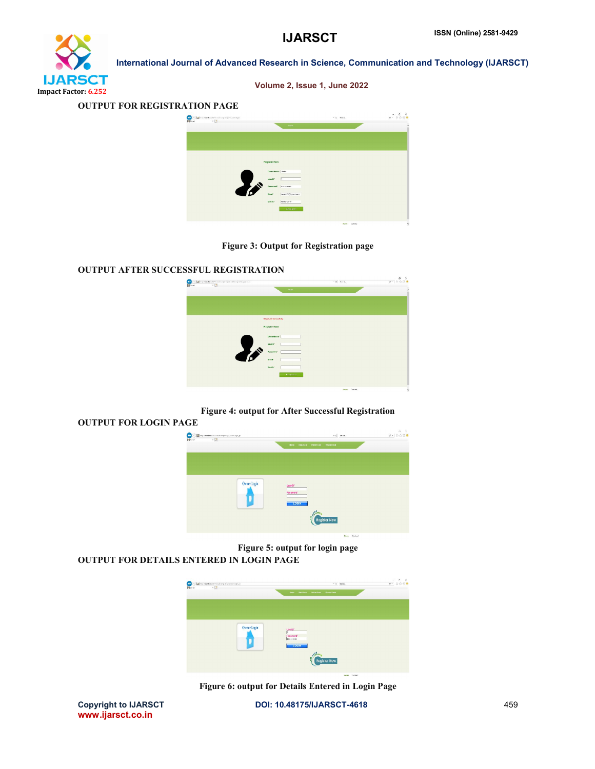

Volume 2, Issue 1, June 2022

#### OUTPUT FOR REGISTRATION PAGE



Figure 3: Output for Registration page

#### OUTPUT AFTER SUCCESSFUL REGISTRATION

OUTPUT FOR LOGIN PAGE



#### Figure 4: output for After Successful Registration

# $\begin{picture}(180,10) \put(0,0){\line(1,0){10}} \put(10,0){\line(1,0){10}} \put(10,0){\line(1,0){10}} \put(10,0){\line(1,0){10}} \put(10,0){\line(1,0){10}} \put(10,0){\line(1,0){10}} \put(10,0){\line(1,0){10}} \put(10,0){\line(1,0){10}} \put(10,0){\line(1,0){10}} \put(10,0){\line(1,0){10}} \put(10,0){\line(1,0){10}} \put(10,0){\line($ Register Now

Figure 5: output for login page OUTPUT FOR DETAILS ENTERED IN LOGIN PAGE



Figure 6: output for Details Entered in Login Page

www.ijarsct.co.in

Copyright to IJARSCT **DOI: 10.48175/IJARSCT-4618** 459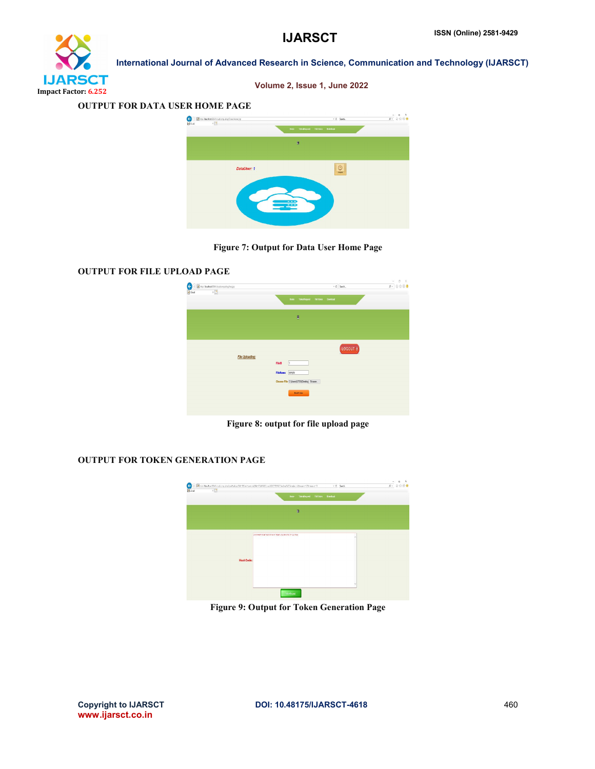

Volume 2, Issue 1, June 2022

#### OUTPUT FOR DATA USER HOME PAGE



Figure 7: Output for Data User Home Page

#### OUTPUT FOR FILE UPLOAD PAGE



Figure 8: output for file upload page

#### OUTPUT FOR TOKEN GENERATION PAGE



Figure 9: Output for Token Generation Page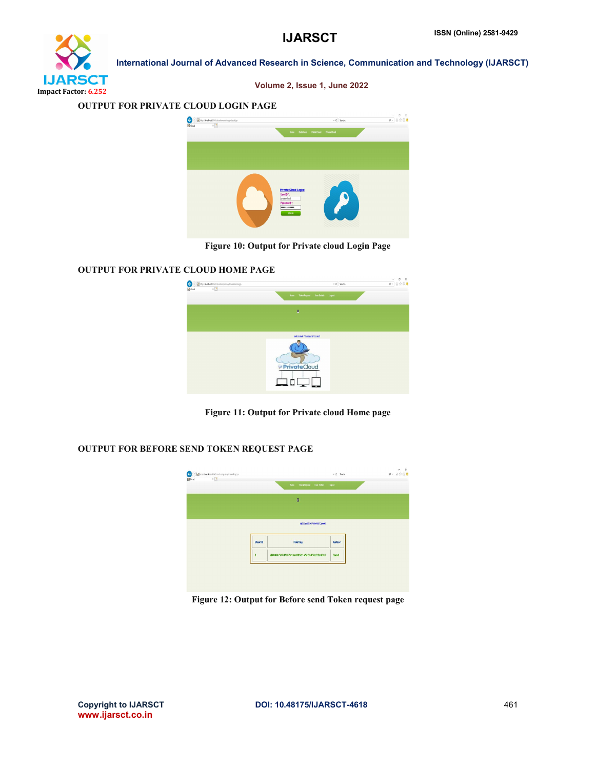

Volume 2, Issue 1, June 2022

#### OUTPUT FOR PRIVATE CLOUD LOGIN PAGE



Figure 10: Output for Private cloud Login Page

## OUTPUT FOR PRIVATE CLOUD HOME PAGE



Figure 11: Output for Private cloud Home page

## OUTPUT FOR BEFORE SEND TOKEN REQUEST PAGE



Figure 12: Output for Before send Token request page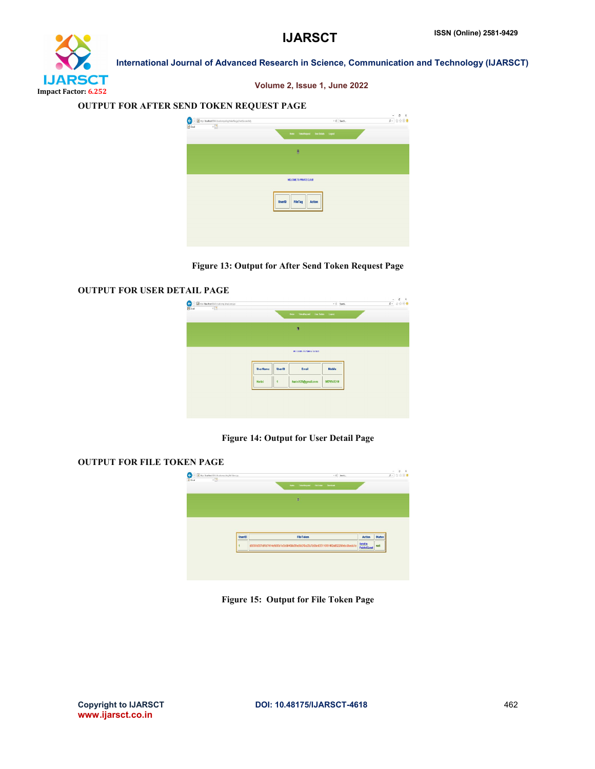# **IJARSCT** Impact Factor: 6.252

Volume 2, Issue 1, June 2022

International Journal of Advanced Research in Science, Communication and Technology (IJARSCT)

#### OUTPUT FOR AFTER SEND TOKEN REQUEST PAGE



Figure 13: Output for After Send Token Request Page

## OUTPUT FOR USER DETAIL PAGE



## Figure 14: Output for User Detail Page

#### OUTPUT FOR FILE TOKEN PAGE



Figure 15: Output for File Token Page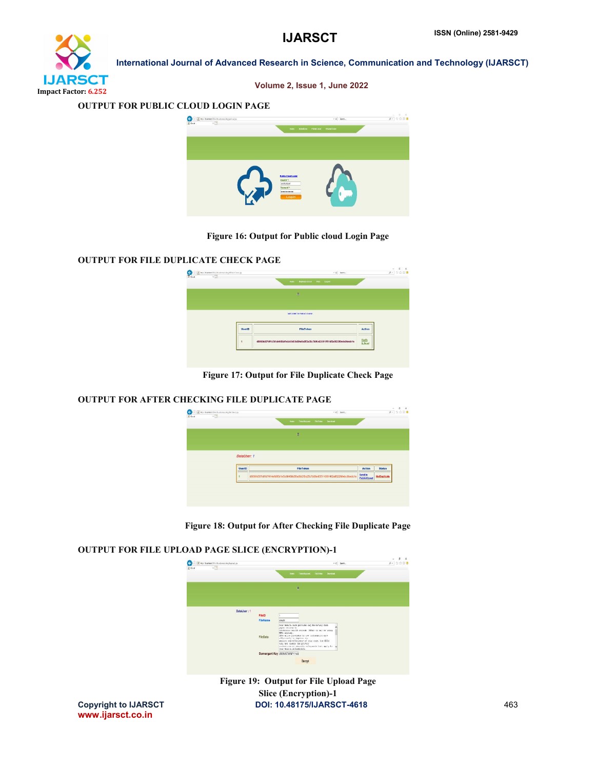

Volume 2, Issue 1, June 2022

#### OUTPUT FOR PUBLIC CLOUD LOGIN PAGE



#### Figure 16: Output for Public cloud Login Page

 $\sim$   $\sqrt{ }$ 

#### OUTPUT FOR FILE DUPLICATE CHECK PAGE

|                    | $\begin{tabular}{ c c c c } \hline \multicolumn{3}{ c }{C} & \multicolumn{3}{ c }{B} & \multicolumn{3}{ c }{Mpc} & \multicolumn{3}{ c }{B} & \multicolumn{3}{ c }{Mpc} & \multicolumn{3}{ c }{B} & \multicolumn{3}{ c }{B} & \multicolumn{3}{ c }{B} & \multicolumn{3}{ c }{B} & \multicolumn{3}{ c }{B} & \multicolumn{3}{ c }{B} & \multicolumn{3}{ c }{B} & \multicolumn{3}{ c }{B} & \multicolumn{3}{ c }{B} & \multic$ |               | $\sim$ 0 $-$ lease)                                                              |                  | $p$ = $0$ $0$ $0$ $0$ |
|--------------------|-----------------------------------------------------------------------------------------------------------------------------------------------------------------------------------------------------------------------------------------------------------------------------------------------------------------------------------------------------------------------------------------------------------------------------|---------------|----------------------------------------------------------------------------------|------------------|-----------------------|
| $\overline{A}$ God | $\times$                                                                                                                                                                                                                                                                                                                                                                                                                    |               | Deplete Check Fles Lagost<br>Home                                                |                  |                       |
|                    |                                                                                                                                                                                                                                                                                                                                                                                                                             |               | ø                                                                                |                  |                       |
|                    |                                                                                                                                                                                                                                                                                                                                                                                                                             |               |                                                                                  |                  |                       |
|                    |                                                                                                                                                                                                                                                                                                                                                                                                                             |               | <b>INTLCOME TO FURLIC CLOUD</b>                                                  |                  |                       |
|                    |                                                                                                                                                                                                                                                                                                                                                                                                                             | <b>UserID</b> | <b>FileToken</b>                                                                 | Action           |                       |
|                    |                                                                                                                                                                                                                                                                                                                                                                                                                             |               | d9090b507df1b7414efd95d1e5c60458d5fadld2f3a25c7b06e635110f814f2a852289ebc9bedc1e | Verify<br>& Send |                       |
|                    |                                                                                                                                                                                                                                                                                                                                                                                                                             |               |                                                                                  |                  |                       |
|                    |                                                                                                                                                                                                                                                                                                                                                                                                                             |               |                                                                                  |                  |                       |

Figure 17: Output for File Duplicate Check Page

#### OUTPUT FOR AFTER CHECKING FILE DUPLICATE PAGE



Figure 18: Output for After Checking File Duplicate Page

#### OUTPUT FOR FILE UPLOAD PAGE SLICE (ENCRYPTION)-1



Copyright to IJARSCT DOI: 10.48175/IJARSCT-4618 Figure 19: Output for File Upload Page Slice (Encryption)-1

www.ijarsct.co.in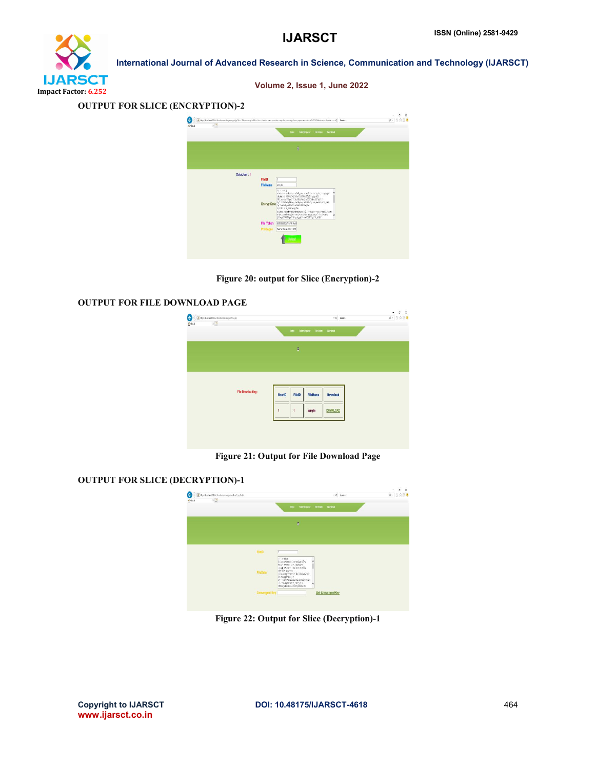

| Volume 2, Issue 1, June 2022 |  |  |  |
|------------------------------|--|--|--|
|                              |  |  |  |

#### OUTPUT FOR SLICE (ENCRYPTION)-2



Figure 20: output for Slice (Encryption)-2

#### OUTPUT FOR FILE DOWNLOAD PAGE



Figure 21: Output for File Download Page

## OUTPUT FOR SLICE (DECRYPTION)-1



Figure 22: Output for Slice (Decryption)-1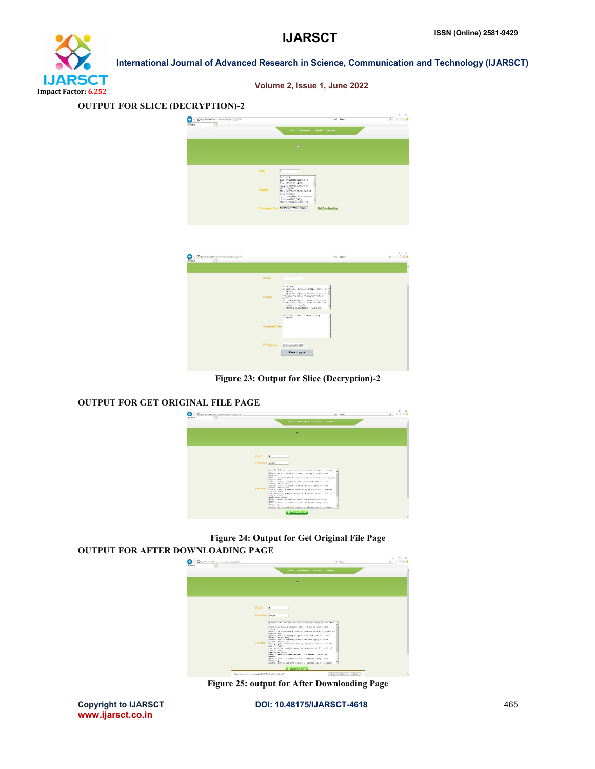

#### OUTPUT FOR SLICE (DECRYPTION)-2



| High leasters (Stindenbergs ing Central) prints 1<br>$x \square$<br>$\overline{\mathcal{R}}$ Goud |                 |                                                                                                                                                                                                                                                                                                                                       | $-0$ Smet. | $p - 0000$ |
|---------------------------------------------------------------------------------------------------|-----------------|---------------------------------------------------------------------------------------------------------------------------------------------------------------------------------------------------------------------------------------------------------------------------------------------------------------------------------------|------------|------------|
|                                                                                                   |                 |                                                                                                                                                                                                                                                                                                                                       |            |            |
|                                                                                                   | <b>FileID</b>   |                                                                                                                                                                                                                                                                                                                                       |            |            |
|                                                                                                   | <b>FileData</b> | 22.21ab3<br>BECANIZE LEED DESCRIPTIONS OF TRAVEL 1879111123 A<br>: Sations<br>1934 Tel 2871-2011 PASSEROT-2018 7-201901<br>2001 Little * 2011 7: 30 2001 Nog 1012 March 1<br>arry.<br>33" 1121500 Electric Extendio 127-1, 10, 845<br>SSRAD PROPORTERAL ALERGEBOZZREDULPA<br>PLANEREN 19884 STAR<br>c104157613@P40Pd865x31711, I+61K? |            |            |
|                                                                                                   | Convergent Key  | BAD-ADEMY V-ENcillinewo-AV (SD 06)<br>121x1-161                                                                                                                                                                                                                                                                                       |            |            |
|                                                                                                   | PrivilegeKey    | Back-boxecustom                                                                                                                                                                                                                                                                                                                       |            |            |
|                                                                                                   |                 | Decrypt                                                                                                                                                                                                                                                                                                                               |            |            |

Figure 23: Output for Slice (Decryption)-2

## OUTPUT FOR GET ORIGINAL FILE PAGE



Figure 24: Output for Get Original File Page

#### OUTPUT FOR AFTER DOWNLOADING PAGE



Figure 25: output for After Downloading Page

Copyright to IJARSCT **DOI: 10.48175/IJARSCT-4618** 465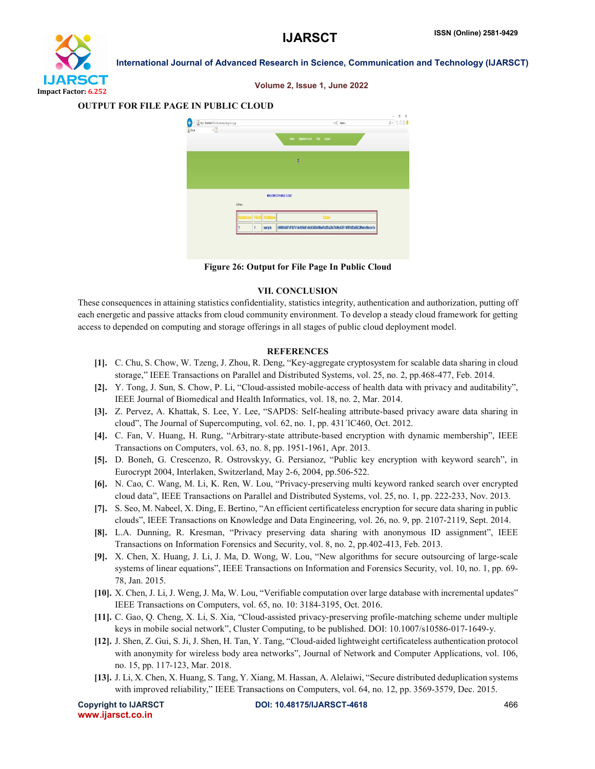

| Hip Iscales Bioduckomputing descrip-<br>e<br>$\overline{A}$ Ond<br>xD |                         | - 6 Sanch.                                                                       | 9888<br>$\beta$ - |
|-----------------------------------------------------------------------|-------------------------|----------------------------------------------------------------------------------|-------------------|
|                                                                       |                         | Home Deplicate Check Files Logost                                                |                   |
|                                                                       |                         | ū                                                                                |                   |
|                                                                       |                         |                                                                                  |                   |
|                                                                       | MELCOME TO PUBLIC CLOUD |                                                                                  |                   |
|                                                                       | <b>AFTes:</b>           |                                                                                  |                   |
|                                                                       |                         |                                                                                  |                   |
|                                                                       | sample                  | d9099b507df1b7414efd96d1e5c60468d5fad6d2f3a25c7b08e635110f814f2a852289ebc9bedc1e |                   |

Figure 26: Output for File Page In Public Cloud

#### VII. CONCLUSION

These consequences in attaining statistics confidentiality, statistics integrity, authentication and authorization, putting off each energetic and passive attacks from cloud community environment. To develop a steady cloud framework for getting access to depended on computing and storage offerings in all stages of public cloud deployment model.

#### **REFERENCES**

- [1]. C. Chu, S. Chow, W. Tzeng, J. Zhou, R. Deng, "Key-aggregate cryptosystem for scalable data sharing in cloud storage," IEEE Transactions on Parallel and Distributed Systems, vol. 25, no. 2, pp.468-477, Feb. 2014.
- [2]. Y. Tong, J. Sun, S. Chow, P. Li, "Cloud-assisted mobile-access of health data with privacy and auditability", IEEE Journal of Biomedical and Health Informatics, vol. 18, no. 2, Mar. 2014.
- [3]. Z. Pervez, A. Khattak, S. Lee, Y. Lee, "SAPDS: Self-healing attribute-based privacy aware data sharing in cloud", The Journal of Supercomputing, vol. 62, no. 1, pp. 431´lC460, Oct. 2012.
- [4]. C. Fan, V. Huang, H. Rung, "Arbitrary-state attribute-based encryption with dynamic membership", IEEE Transactions on Computers, vol. 63, no. 8, pp. 1951-1961, Apr. 2013.
- [5]. D. Boneh, G. Crescenzo, R. Ostrovskyy, G. Persianoz, "Public key encryption with keyword search", in Eurocrypt 2004, Interlaken, Switzerland, May 2-6, 2004, pp.506-522.
- [6]. N. Cao, C. Wang, M. Li, K. Ren, W. Lou, "Privacy-preserving multi keyword ranked search over encrypted cloud data", IEEE Transactions on Parallel and Distributed Systems, vol. 25, no. 1, pp. 222-233, Nov. 2013.
- [7]. S. Seo, M. Nabeel, X. Ding, E. Bertino, "An efficient certificateless encryption for secure data sharing in public clouds", IEEE Transactions on Knowledge and Data Engineering, vol. 26, no. 9, pp. 2107-2119, Sept. 2014.
- [8]. L.A. Dunning, R. Kresman, "Privacy preserving data sharing with anonymous ID assignment", IEEE Transactions on Information Forensics and Security, vol. 8, no. 2, pp.402-413, Feb. 2013.
- [9]. X. Chen, X. Huang, J. Li, J. Ma, D. Wong, W. Lou, "New algorithms for secure outsourcing of large-scale systems of linear equations", IEEE Transactions on Information and Forensics Security, vol. 10, no. 1, pp. 69- 78, Jan. 2015.
- [10]. X. Chen, J. Li, J. Weng, J. Ma, W. Lou, "Verifiable computation over large database with incremental updates" IEEE Transactions on Computers, vol. 65, no. 10: 3184-3195, Oct. 2016.
- [11]. C. Gao, Q. Cheng, X. Li, S. Xia, "Cloud-assisted privacy-preserving profile-matching scheme under multiple keys in mobile social network", Cluster Computing, to be published. DOI: 10.1007/s10586-017-1649-y.
- [12]. J. Shen, Z. Gui, S. Ji, J. Shen, H. Tan, Y. Tang, "Cloud-aided lightweight certificateless authentication protocol with anonymity for wireless body area networks", Journal of Network and Computer Applications, vol. 106, no. 15, pp. 117-123, Mar. 2018.
- [13]. J. Li, X. Chen, X. Huang, S. Tang, Y. Xiang, M. Hassan, A. Alelaiwi, "Secure distributed deduplication systems with improved reliability," IEEE Transactions on Computers, vol. 64, no. 12, pp. 3569-3579, Dec. 2015.

www.ijarsct.co.in

#### Volume 2, Issue 1, June 2022